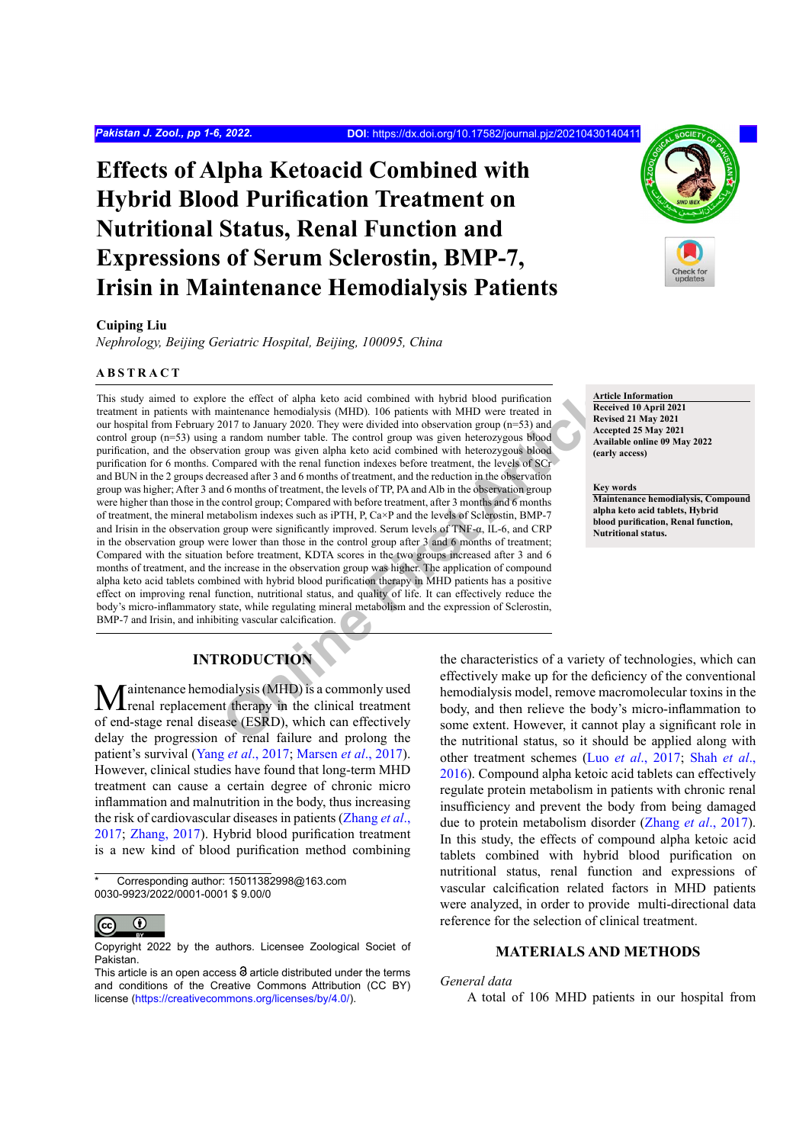# **Effects of Alpha Ketoacid Combined with Hybrid Blood Purification Treatment on Nutritional Status, Renal Function and Expressions of Serum Sclerostin, BMP-7, Irisin in Maintenance Hemodialysis Patients**

# **Cuiping Liu**

*Nephrology, Beijing Geriatric Hospital, Beijing, 100095, China*

## **ABSTRACT**

The the effect of alpha keto acid combined with hybrid blood purification<br>
naintenance hemodialysis (MHD). 106 patients with MHD were treated in<br>
actrede in the control group (n=33) and<br>
actrede in the control group was gi This study aimed to explore the effect of alpha keto acid combined with hybrid blood purification treatment in patients with maintenance hemodialysis (MHD). 106 patients with MHD were treated in our hospital from February 2017 to January 2020. They were divided into observation group ( $n=53$ ) and control group (n=53) using a random number table. The control group was given heterozygous blood purification, and the observation group was given alpha keto acid combined with heterozygous blood purification for 6 months. Compared with the renal function indexes before treatment, the levels of SCr and BUN in the 2 groups decreased after 3 and 6 months of treatment, and the reduction in the observation group was higher; After 3 and 6 months of treatment, the levels of TP, PA and Alb in the observation group were higher than those in the control group; Compared with before treatment, after 3 months and 6 months of treatment, the mineral metabolism indexes such as iPTH, P, Ca×P and the levels of Sclerostin, BMP-7 and Irisin in the observation group were significantly improved. Serum levels of TNF-α, IL-6, and CRP in the observation group were lower than those in the control group after 3 and 6 months of treatment; Compared with the situation before treatment, KDTA scores in the two groups increased after 3 and 6 months of treatment, and the increase in the observation group was higher. The application of compound alpha keto acid tablets combined with hybrid blood purification therapy in MHD patients has a positive effect on improving renal function, nutritional status, and quality of life. It can effectively reduce the body's micro-inflammatory state, while regulating mineral metabolism and the expression of Sclerostin, BMP-7 and Irisin, and inhibiting vascular calcification.

# **INTRODUCTION**

**Maintenance hemodialysis (MHD) is a commonly used** renal replacement therapy in the clinical treatment of end-stage renal disease (ESRD), which can effectively delay the progression of renal failure and prolong the patient's survival (Yang *et al*[., 2017](#page-5-0); [Marsen](#page-5-1) *et al*., 2017). However, clinical studies have found that long-term MHD treatment can cause a certain degree of chronic micro inflammation and malnutrition in the body, thus increasing the risk of cardiovascular diseases in patients ([Zhang](#page-5-2) *et al*., [2017;](#page-5-2) [Zhang, 2017\)](#page-5-3). Hybrid blood purification treatment is a new kind of blood purification method combining

Corresponding author: 15011382998@163.com 0030-9923/2022/0001-0001 \$ 9.00/0



Copyright 2022 by the authors. Licensee Zoological Societ of Pakistan.



**Article Information Received 10 April 2021**

**Revised 21 May 2021 Accepted 25 May 2021 Available online 09 May 2022 (early access)**

**Key words**

**Maintenance hemodialysis, Compound alpha keto acid tablets, Hybrid blood purification, Renal function, Nutritional status.**

the characteristics of a variety of technologies, which can effectively make up for the deficiency of the conventional hemodialysis model, remove macromolecular toxins in the body, and then relieve the body's micro-inflammation to some extent. However, it cannot play a significant role in the nutritional status, so it should be applied along with other treatment schemes (Luo *et al*., 2017; [Shah](#page-5-4) *et al*., [2016](#page-5-4)). Compound alpha ketoic acid tablets can effectively regulate protein metabolism in patients with chronic renal insufficiency and prevent the body from being damaged due to protein metabolism disorder (Zhang *et al*[., 2017](#page-5-2)). In this study, the effects of compound alpha ketoic acid tablets combined with hybrid blood purification on nutritional status, renal function and expressions of vascular calcification related factors in MHD patients were analyzed, in order to provide multi-directional data reference for the selection of clinical treatment.

# **MATERIALS AND METHODS**

# *General data*

A total of 106 MHD patients in our hospital from

This article is an open access  $\Theta$  article distributed under the terms and conditions of the Creative Commons Attribution (CC BY) license (https://creativecommons.org/licenses/by/4.0/).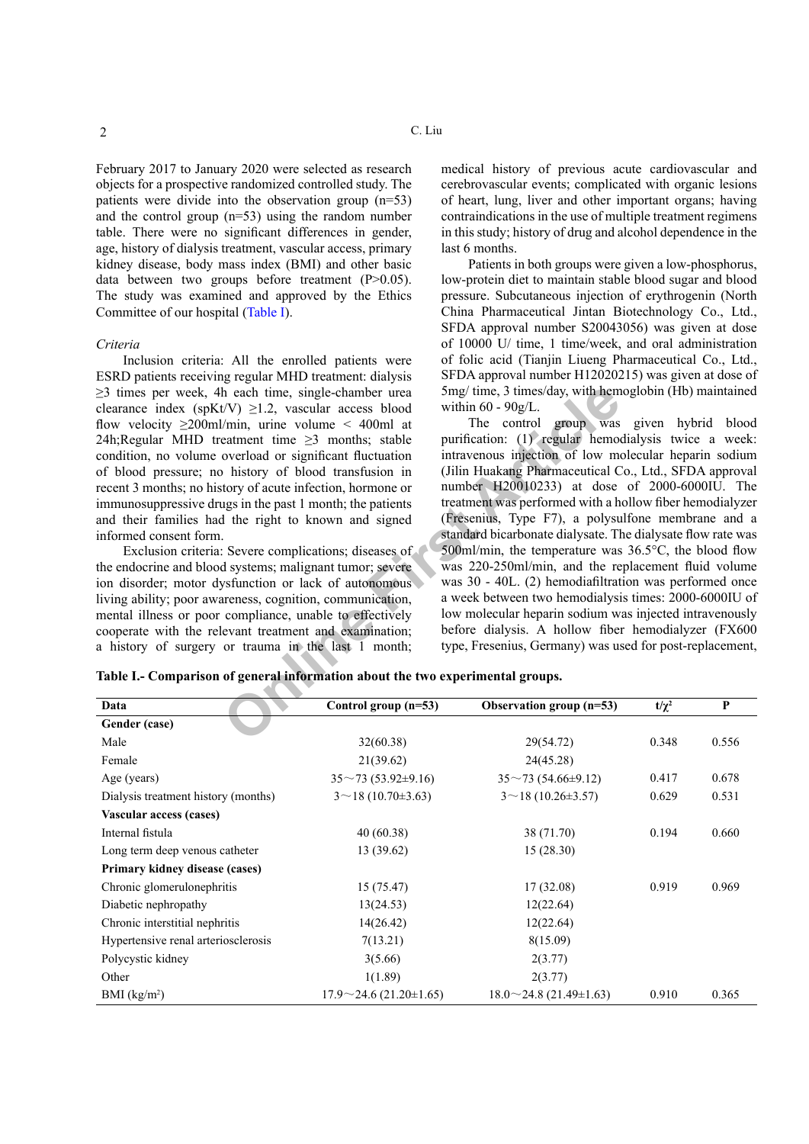February 2017 to January 2020 were selected as research objects for a prospective randomized controlled study. The patients were divide into the observation group (n=53) and the control group (n=53) using the random number table. There were no significant differences in gender, age, history of dialysis treatment, vascular access, primary kidney disease, body mass index (BMI) and other basic data between two groups before treatment (P>0.05). The study was examined and approved by the Ethics Committee of our hospital ([Table](#page-1-0) I).

#### *Criteria*

Inclusion criteria: All the enrolled patients were ESRD patients receiving regular MHD treatment: dialysis  $\geq$ 3 times per week, 4h each time, single-chamber urea clearance index (spKt/V)  $\geq$ 1.2, vascular access blood flow velocity  $\geq 200$ ml/min, urine volume < 400ml at 24h;Regular MHD treatment time  $\geq$ 3 months; stable condition, no volume overload or significant fluctuation of blood pressure; no history of blood transfusion in recent 3 months; no history of acute infection, hormone or immunosuppressive drugs in the past 1 month; the patients and their families had the right to known and signed informed consent form.

Exclusion criteria: Severe complications; diseases of the endocrine and blood systems; malignant tumor; severe ion disorder; motor dysfunction or lack of autonomous living ability; poor awareness, cognition, communication, mental illness or poor compliance, unable to effectively cooperate with the relevant treatment and examination; a history of surgery or trauma in the last 1 month;

medical history of previous acute cardiovascular and cerebrovascular events; complicated with organic lesions of heart, lung, liver and other important organs; having contraindications in the use of multiple treatment regimens in this study; history of drug and alcohol dependence in the last 6 months.

Patients in both groups were given a low-phosphorus, low-protein diet to maintain stable blood sugar and blood pressure. Subcutaneous injection of erythrogenin (North China Pharmaceutical Jintan Biotechnology Co., Ltd., SFDA approval number S20043056) was given at dose of 10000 U/ time, 1 time/week, and oral administration of folic acid (Tianjin Liueng Pharmaceutical Co., Ltd., SFDA approval number H12020215) was given at dose of 5mg/ time, 3 times/day, with hemoglobin (Hb) maintained within 60 - 90g/L.

**Charamolarist Article** Chamber urea Smg/time, 3 times/day, with hem<br>
VV)  $\geq$ 1.2, vascular access blood within 60 - 90g/L.<br>
(*Nmi*n, urine volume < 400ml at<br>
deatment time  $\geq$ 3 months; stable purification: (1) regular The control group was given hybrid blood purification: (1) regular hemodialysis twice a week: intravenous injection of low molecular heparin sodium (Jilin Huakang Pharmaceutical Co., Ltd., SFDA approval number H20010233) at dose of 2000-6000IU. The treatment was performed with a hollow fiber hemodialyzer (Fresenius, Type F7), a polysulfone membrane and a standard bicarbonate dialysate. The dialysate flow rate was 500ml/min, the temperature was 36.5°C, the blood flow was 220-250ml/min, and the replacement fluid volume was 30 - 40L. (2) hemodiafiltration was performed once a week between two hemodialysis times: 2000-6000IU of low molecular heparin sodium was injected intravenously before dialysis. A hollow fiber hemodialyzer (FX600 type, Fresenius, Germany) was used for post-replacement,

| Data                                | Control group $(n=53)$         | Observation group $(n=53)$    | $t/\chi^2$ | P     |
|-------------------------------------|--------------------------------|-------------------------------|------------|-------|
| Gender (case)                       |                                |                               |            |       |
| Male                                | 32(60.38)                      | 29(54.72)                     | 0.348      | 0.556 |
| Female                              | 21(39.62)                      | 24(45.28)                     |            |       |
| Age (years)                         | $35^{\sim}73(53.92^{\pm}9.16)$ | $35^{\sim}73(54.66\pm9.12)$   | 0.417      | 0.678 |
| Dialysis treatment history (months) | $3 \sim 18(10.70 \pm 3.63)$    | $3 \sim 18(10.26 \pm 3.57)$   | 0.629      | 0.531 |
| Vascular access (cases)             |                                |                               |            |       |
| Internal fistula                    | 40 (60.38)                     | 38 (71.70)                    | 0.194      | 0.660 |
| Long term deep venous catheter      | 13 (39.62)                     | 15(28.30)                     |            |       |
| Primary kidney disease (cases)      |                                |                               |            |       |
| Chronic glomerulonephritis          | 15(75.47)                      | 17(32.08)                     | 0.919      | 0.969 |
| Diabetic nephropathy                | 13(24.53)                      | 12(22.64)                     |            |       |
| Chronic interstitial nephritis      | 14(26.42)                      | 12(22.64)                     |            |       |
| Hypertensive renal arteriosclerosis | 7(13.21)                       | 8(15.09)                      |            |       |
| Polycystic kidney                   | 3(5.66)                        | 2(3.77)                       |            |       |
| Other                               | 1(1.89)                        | 2(3.77)                       |            |       |
| BMI $(kg/m2)$                       | $17.9 \sim 24.6$ (21.20±1.65)  | $18.0 \sim 24.8$ (21.49±1.63) | 0.910      | 0.365 |

<span id="page-1-0"></span>**Table I.- Comparison of general information about the two experimental groups.**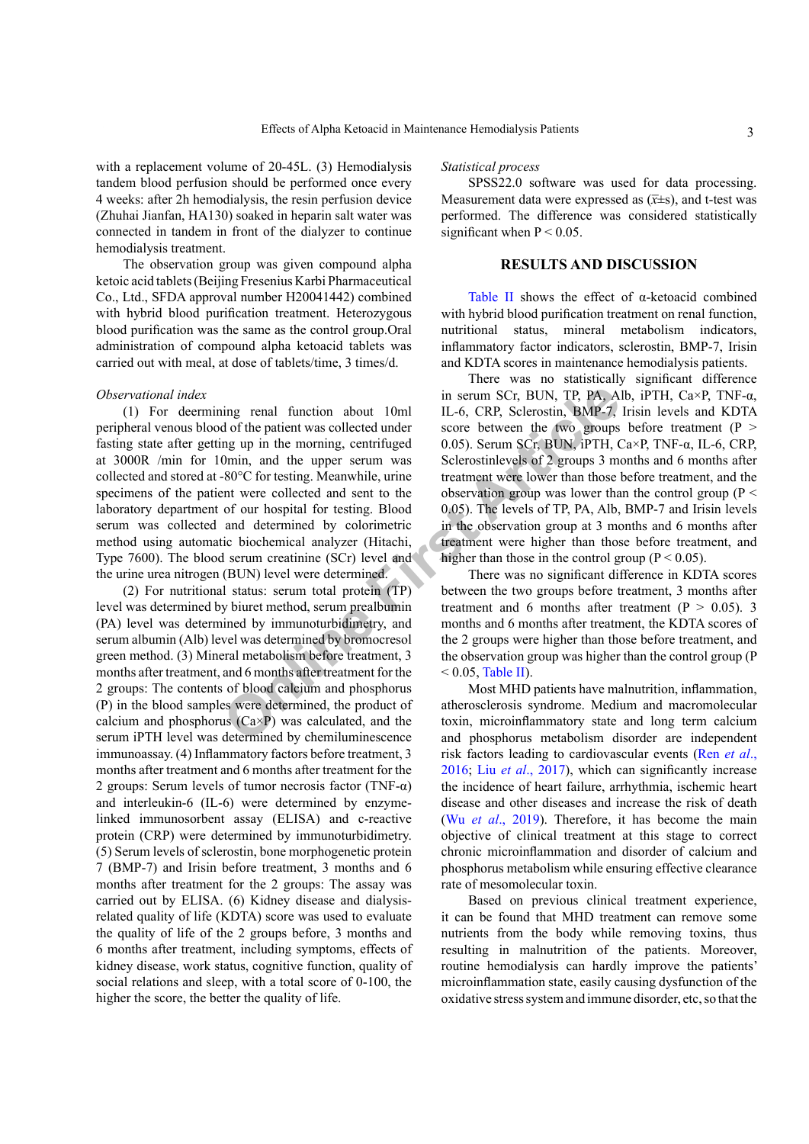with a replacement volume of 20-45L. (3) Hemodialysis tandem blood perfusion should be performed once every 4 weeks: after 2h hemodialysis, the resin perfusion device (Zhuhai Jianfan, HA130) soaked in heparin salt water was connected in tandem in front of the dialyzer to continue hemodialysis treatment.

The observation group was given compound alpha ketoic acid tablets (Beijing Fresenius Karbi Pharmaceutical Co., Ltd., SFDA approval number H20041442) combined with hybrid blood purification treatment. Heterozygous blood purification was the same as the control group.Oral administration of compound alpha ketoacid tablets was carried out with meal, at dose of tablets/time, 3 times/d.

### *Observational index*

in serum SCr, BUN, TP, PA, A<br>
in serum SCr, BUN, TP, PA, A<br>
do fthe patient was collected under<br>
one between the two groups<br>
one, and the upper serrum was<br>
Sclerostsinevels of 2 groups 3 m<br>
sclerostine Sclerostsinevels of (1) For deermining renal function about 10ml peripheral venous blood of the patient was collected under fasting state after getting up in the morning, centrifuged at 3000R /min for 10min, and the upper serum was collected and stored at -80°C for testing. Meanwhile, urine specimens of the patient were collected and sent to the laboratory department of our hospital for testing. Blood serum was collected and determined by colorimetric method using automatic biochemical analyzer (Hitachi, Type 7600). The blood serum creatinine (SCr) level and the urine urea nitrogen (BUN) level were determined.

(2) For nutritional status: serum total protein (TP) level was determined by biuret method, serum prealbumin (PA) level was determined by immunoturbidimetry, and serum albumin (Alb) level was determined by bromocresol green method. (3) Mineral metabolism before treatment, 3 months after treatment, and 6 months after treatment for the 2 groups: The contents of blood calcium and phosphorus (P) in the blood samples were determined, the product of calcium and phosphorus  $(Ca \times P)$  was calculated, and the serum iPTH level was determined by chemiluminescence immunoassay. (4) Inflammatory factors before treatment, 3 months after treatment and 6 months after treatment for the 2 groups: Serum levels of tumor necrosis factor (TNF- $\alpha$ ) and interleukin-6 (IL-6) were determined by enzymelinked immunosorbent assay (ELISA) and c-reactive protein (CRP) were determined by immunoturbidimetry. (5) Serum levels of sclerostin, bone morphogenetic protein 7 (BMP-7) and Irisin before treatment, 3 months and 6 months after treatment for the 2 groups: The assay was carried out by ELISA. (6) Kidney disease and dialysisrelated quality of life (KDTA) score was used to evaluate the quality of life of the 2 groups before, 3 months and 6 months after treatment, including symptoms, effects of kidney disease, work status, cognitive function, quality of social relations and sleep, with a total score of 0-100, the higher the score, the better the quality of life.

*Statistical process*

SPSS22.0 software was used for data processing. Measurement data were expressed as  $(\overline{x} \pm s)$ , and t-test was performed. The difference was considered statistically significant when  $P < 0.05$ .

# **RESULTS AND DISCUSSION**

[Table II](#page-3-0) shows the effect of α-ketoacid combined with hybrid blood purification treatment on renal function, nutritional status, mineral metabolism indicators, inflammatory factor indicators, sclerostin, BMP-7, Irisin and KDTA scores in maintenance hemodialysis patients.

There was no statistically significant difference in serum SCr, BUN, TP, PA, Alb, iPTH, Ca×P, TNF-α, IL-6, CRP, Sclerostin, BMP-7, Irisin levels and KDTA score between the two groups before treatment  $(P >$ 0.05). Serum SCr, BUN, iPTH, Ca×P, TNF-α, IL-6, CRP, Sclerostinlevels of 2 groups 3 months and 6 months after treatment were lower than those before treatment, and the observation group was lower than the control group ( $P \leq$ 0.05). The levels of TP, PA, Alb, BMP-7 and Irisin levels in the observation group at 3 months and 6 months after treatment were higher than those before treatment, and higher than those in the control group ( $P < 0.05$ ).

There was no significant difference in KDTA scores between the two groups before treatment, 3 months after treatment and 6 months after treatment  $(P > 0.05)$ . 3 months and 6 months after treatment, the KDTA scores of the 2 groups were higher than those before treatment, and the observation group was higher than the control group (P  $< 0.05$ , Table II).

Most MHD patients have malnutrition, inflammation, atherosclerosis syndrome. Medium and macromolecular toxin, microinflammatory state and long term calcium and phosphorus metabolism disorder are independent risk factors leading to cardiovascular events (Ren *[et al](#page-5-5)*., [2016;](#page-5-5) Liu *et al*[., 2017](#page-5-6)), which can significantly increase the incidence of heart failure, arrhythmia, ischemic heart disease and other diseases and increase the risk of death (Wu *et al*[., 2019](#page-5-7)). Therefore, it has become the main objective of clinical treatment at this stage to correct chronic microinflammation and disorder of calcium and phosphorus metabolism while ensuring effective clearance rate of mesomolecular toxin.

Based on previous clinical treatment experience, it can be found that MHD treatment can remove some nutrients from the body while removing toxins, thus resulting in malnutrition of the patients. Moreover, routine hemodialysis can hardly improve the patients' microinflammation state, easily causing dysfunction of the oxidative stress system and immune disorder, etc, so that the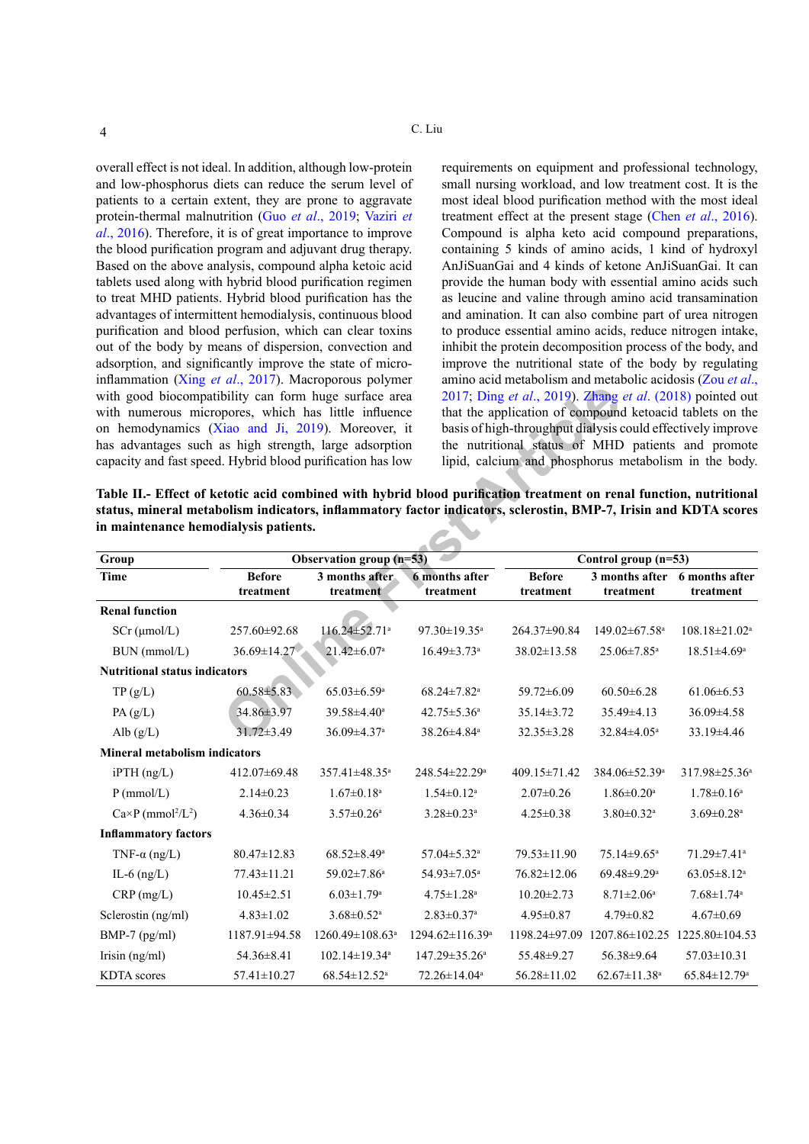overall effect is not ideal. In addition, although low-protein and low-phosphorus diets can reduce the serum level of patients to a certain extent, they are prone to aggravate protein-thermal malnutrition (Guo *et al*[., 2019](#page-5-8); [Vaziri](#page-5-9) *et al*[., 201](#page-5-9)6). Therefore, it is of great importance to improve the blood purification program and adjuvant drug therapy. Based on the above analysis, compound alpha ketoic acid tablets used along with hybrid blood purification regimen to treat MHD patients. Hybrid blood purification has the advantages of intermittent hemodialysis, continuous blood purification and blood perfusion, which can clear toxins out of the body by means of dispersion, convection and adsorption, and significantly improve the state of microinflammation (Xing *et al*[., 201](#page-5-10)7). Macroporous polymer with good biocompatibility can form huge surface area with numerous micropores, which has little influence on hemodynamics (Xiao and Ji, 2019). Moreover, it has advantages such as high strength, large adsorption capacity and fast speed. Hybrid blood purification has low

requirements on equipment and professional technology, small nursing workload, and low treatment cost. It is the most ideal blood purification method with the most ideal treatment effect at the present stage (Chen *et al*[., 2016](#page-5-12)). Compound is alpha keto acid compound preparations, containing 5 kinds of amino acids, 1 kind of hydroxyl AnJiSuanGai and 4 kinds of ketone AnJiSuanGai. It can provide the human body with essential amino acids such as leucine and valine through amino acid transamination and amination. It can also combine part of urea nitrogen to produce essential amino acids, reduce nitrogen intake, inhibit the protein decomposition process of the body, and improve the nutritional state of the body by regulating amino acid metabolism and metabolic acidosis [\(Zou](#page-6-0) *et al*., 2017; Ding *et al*., 2019). Zhang *et al*. (2018) pointed out that the application of compound ketoacid tablets on the basis of high-throughput dialysis could effectively improve the nutritional status of MHD patients and promote lipid, calcium and phosphorus metabolism in the body.

<span id="page-3-0"></span>**Table II.- Effect of ketotic acid combined with hybrid blood purification treatment on renal function, nutritional status, mineral metabolism indicators, inflammatory factor indicators, sclerostin, BMP-7, Irisin and KDTA scores in maintenance hemodialysis patients.**

| with good biocompatibility can form huge surface area<br>with numerous micropores, which has little influence                                                                                                                          |                                                                                       |                                 | 2017; Ding et al., 2019). Zhang et al. (2018) pointed out<br>that the application of compound ketoacid tablets on the<br>basis of high-throughput dialysis could effectively improve<br>the nutritional status of MHD patients and promote<br>lipid, calcium and phosphorus metabolism in the body. |                   |                                             |                                 |  |  |
|----------------------------------------------------------------------------------------------------------------------------------------------------------------------------------------------------------------------------------------|---------------------------------------------------------------------------------------|---------------------------------|-----------------------------------------------------------------------------------------------------------------------------------------------------------------------------------------------------------------------------------------------------------------------------------------------------|-------------------|---------------------------------------------|---------------------------------|--|--|
| on hemodynamics (Xiao and Ji, 2019). Moreover, it<br>has advantages such as high strength, large adsorption<br>capacity and fast speed. Hybrid blood purification has low                                                              |                                                                                       |                                 |                                                                                                                                                                                                                                                                                                     |                   |                                             |                                 |  |  |
|                                                                                                                                                                                                                                        |                                                                                       |                                 |                                                                                                                                                                                                                                                                                                     |                   |                                             |                                 |  |  |
|                                                                                                                                                                                                                                        |                                                                                       |                                 |                                                                                                                                                                                                                                                                                                     |                   |                                             |                                 |  |  |
| Table II.- Effect of ketotic acid combined with hybrid blood purification treatment on renal function, nutritional<br>status, mineral metabolism indicators, inflammatory factor indicators, sclerostin, BMP-7, Irisin and KDTA scores |                                                                                       |                                 |                                                                                                                                                                                                                                                                                                     |                   |                                             |                                 |  |  |
| in maintenance hemodialysis patients.                                                                                                                                                                                                  |                                                                                       |                                 |                                                                                                                                                                                                                                                                                                     |                   |                                             |                                 |  |  |
|                                                                                                                                                                                                                                        |                                                                                       |                                 |                                                                                                                                                                                                                                                                                                     |                   |                                             |                                 |  |  |
| Group<br><b>Time</b>                                                                                                                                                                                                                   | Observation group (n=53)<br><b>Before</b><br>3 months after.<br><b>6</b> months after |                                 | Control group (n=53)<br>3 months after 6 months after<br><b>Before</b>                                                                                                                                                                                                                              |                   |                                             |                                 |  |  |
|                                                                                                                                                                                                                                        | treatment                                                                             | treatment                       | treatment                                                                                                                                                                                                                                                                                           | treatment         | treatment                                   | treatment                       |  |  |
| <b>Renal function</b>                                                                                                                                                                                                                  |                                                                                       |                                 |                                                                                                                                                                                                                                                                                                     |                   |                                             |                                 |  |  |
| $SCr$ ( $\mu$ mol/L)                                                                                                                                                                                                                   | 257.60±92.68                                                                          | 116.24±52.71ª                   | 97.30±19.35 <sup>a</sup>                                                                                                                                                                                                                                                                            | 264.37±90.84      | 149.02±67.58 <sup>a</sup>                   | $108.18 \pm 21.02$ <sup>a</sup> |  |  |
| BUN (mmol/L)                                                                                                                                                                                                                           | $36.69 \pm 14.27$                                                                     | $21.42 \pm 6.07$ <sup>a</sup>   | $16.49 \pm 3.73$ <sup>a</sup>                                                                                                                                                                                                                                                                       | $38.02 \pm 13.58$ | 25.06±7.85 <sup>a</sup>                     | 18.51±4.69 <sup>a</sup>         |  |  |
| <b>Nutritional status indicators</b>                                                                                                                                                                                                   |                                                                                       |                                 |                                                                                                                                                                                                                                                                                                     |                   |                                             |                                 |  |  |
| TP(g/L)                                                                                                                                                                                                                                | $60.58 \pm 5.83$                                                                      | $65.03 \pm 6.59$ <sup>a</sup>   | $68.24 \pm 7.82$ <sup>a</sup>                                                                                                                                                                                                                                                                       | 59.72±6.09        | $60.50 \pm 6.28$                            | $61.06 \pm 6.53$                |  |  |
| PA(g/L)                                                                                                                                                                                                                                | 34.86±3.97                                                                            | 39.58±4.40 <sup>a</sup>         | $42.75 \pm 5.36^a$                                                                                                                                                                                                                                                                                  | 35.14±3.72        | 35.49±4.13                                  | 36.09±4.58                      |  |  |
| Alb $(g/L)$                                                                                                                                                                                                                            | 31.72±3.49                                                                            | 36.09±4.37 <sup>a</sup>         | 38.26±4.84 <sup>a</sup>                                                                                                                                                                                                                                                                             | 32.35 ± 3.28      | 32.84±4.05 <sup>a</sup>                     | 33.19±4.46                      |  |  |
| <b>Mineral metabolism indicators</b>                                                                                                                                                                                                   |                                                                                       |                                 |                                                                                                                                                                                                                                                                                                     |                   |                                             |                                 |  |  |
| $i$ PTH $(ng/L)$                                                                                                                                                                                                                       | 412.07±69.48                                                                          | 357.41±48.35 <sup>a</sup>       | 248.54±22.29 <sup>a</sup>                                                                                                                                                                                                                                                                           | 409.15±71.42      | 384.06±52.39ª                               | 317.98±25.36 <sup>a</sup>       |  |  |
| $P$ (mmol/L)                                                                                                                                                                                                                           | $2.14 \pm 0.23$                                                                       | $1.67 \pm 0.18$ <sup>a</sup>    | $1.54 \pm 0.12$ <sup>a</sup>                                                                                                                                                                                                                                                                        | $2.07 \pm 0.26$   | $1.86 \pm 0.20$ <sup>a</sup>                | $1.78 \pm 0.16^a$               |  |  |
| $Ca \times P$ (mmol <sup>2</sup> /L <sup>2</sup> )                                                                                                                                                                                     | $4.36 \pm 0.34$                                                                       | $3.57 \pm 0.26$ <sup>a</sup>    | $3.28 \pm 0.23$ <sup>a</sup>                                                                                                                                                                                                                                                                        | $4.25 \pm 0.38$   | $3.80 \pm 0.32$ <sup>a</sup>                | $3.69 \pm 0.28$ <sup>a</sup>    |  |  |
| <b>Inflammatory factors</b>                                                                                                                                                                                                            |                                                                                       |                                 |                                                                                                                                                                                                                                                                                                     |                   |                                             |                                 |  |  |
| TNF- $\alpha$ (ng/L)                                                                                                                                                                                                                   | $80.47 \pm 12.83$                                                                     | $68.52 \pm 8.49^a$              | 57.04±5.32 <sup>a</sup>                                                                                                                                                                                                                                                                             | 79.53±11.90       | 75.14±9.65 <sup>a</sup>                     | 71.29±7.41ª                     |  |  |
| IL-6 $(ng/L)$                                                                                                                                                                                                                          | 77.43±11.21                                                                           | 59.02±7.86 <sup>a</sup>         | 54.93±7.05 <sup>a</sup>                                                                                                                                                                                                                                                                             | $76.82 \pm 12.06$ | 69.48±9.29 <sup>a</sup>                     | $63.05 \pm 8.12$ <sup>a</sup>   |  |  |
| CRP(mg/L)                                                                                                                                                                                                                              | $10.45 \pm 2.51$                                                                      | $6.03 \pm 1.79$ <sup>a</sup>    | $4.75 \pm 1.28$ <sup>a</sup>                                                                                                                                                                                                                                                                        | $10.20 \pm 2.73$  | $8.71 \pm 2.06^a$                           | $7.68 \pm 1.74$ <sup>a</sup>    |  |  |
| Sclerostin (ng/ml)                                                                                                                                                                                                                     | $4.83 \pm 1.02$                                                                       | $3.68 \pm 0.52$ <sup>a</sup>    | $2.83 \pm 0.37$ <sup>a</sup>                                                                                                                                                                                                                                                                        | $4.95 \pm 0.87$   | $4.79 \pm 0.82$                             | $4.67 \pm 0.69$                 |  |  |
| BMP-7 (pg/ml)                                                                                                                                                                                                                          | 1187.91±94.58                                                                         | 1260.49±108.63 <sup>a</sup>     | 1294.62±116.39 <sup>a</sup>                                                                                                                                                                                                                                                                         |                   | 1198.24±97.09 1207.86±102.25 1225.80±104.53 |                                 |  |  |
| Irisin $(ng/ml)$                                                                                                                                                                                                                       | 54.36±8.41                                                                            | $102.14 \pm 19.34$ <sup>a</sup> | $147.29 \pm 35.26^a$                                                                                                                                                                                                                                                                                | 55.48±9.27        | 56.38±9.64                                  | $57.03 \pm 10.31$               |  |  |
| <b>KDTA</b> scores                                                                                                                                                                                                                     | $57.41 \pm 10.27$                                                                     | $68.54 \pm 12.52$ <sup>a</sup>  | 72.26±14.04 <sup>a</sup>                                                                                                                                                                                                                                                                            | $56.28 \pm 11.02$ | $62.67 \pm 11.38$ <sup>a</sup>              | 65.84±12.79 <sup>a</sup>        |  |  |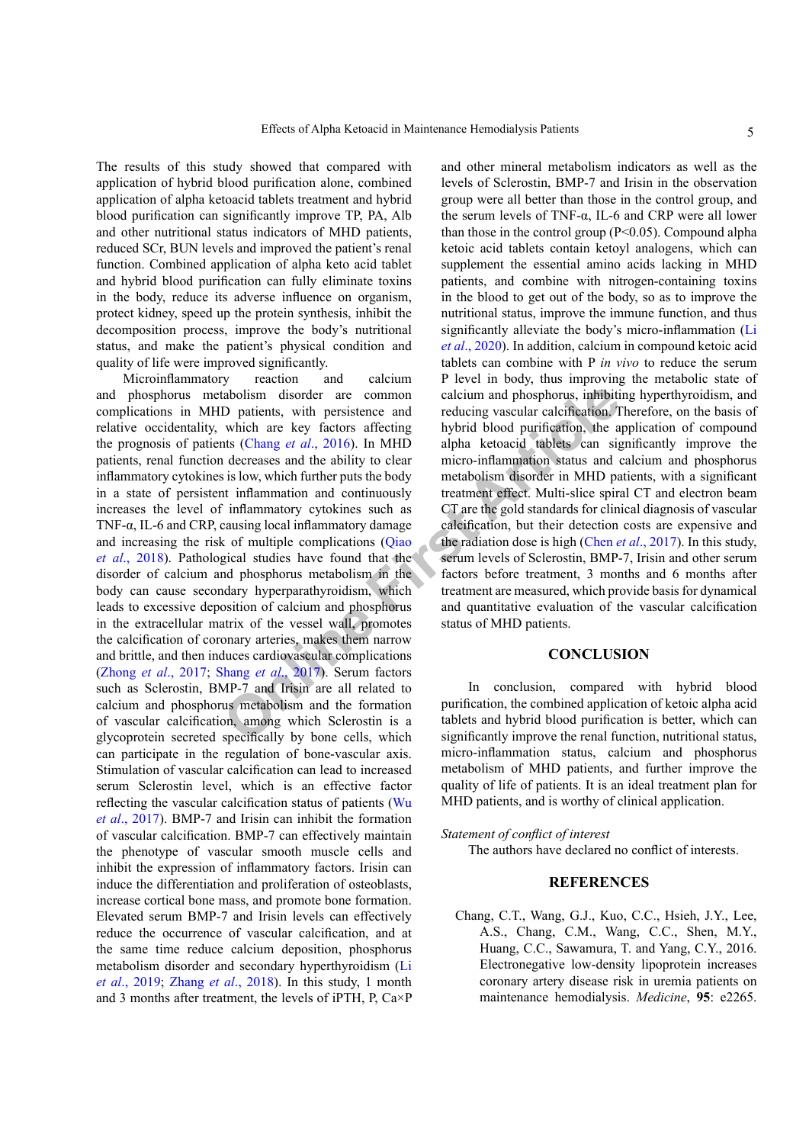The results of this study showed that compared with application of hybrid blood purification alone, combined application of alpha ketoacid tablets treatment and hybrid blood purification can significantly improve TP, PA, Alb and other nutritional status indicators of MHD patients, reduced SCr, BUN levels and improved the patient's renal function. Combined application of alpha keto acid tablet and hybrid blood purification can fully eliminate toxins in the body, reduce its adverse influence on organism, protect kidney, speed up the protein synthesis, inhibit the decomposition process, improve the body's nutritional status, and make the patient's physical condition and quality of life were improved significantly.<br>Microinflammatory reaction a

**EXECTE THE THE SET ARTLE THE SURGE STAND THE SET ARTLE SHOWS AN ART ART ART Which a[r](#page-5-14)e key factors affecting by brid blood purification. It which are key factors affecting by brid blood purification, the a lateraase and t** Microinflammatory reaction and calcium and phosphorus metabolism disorder are common complications in MHD patients, with persistence and relative occidentality, which are key factors affecting the prognosis of patients (Chang *et al*., 2016). In MHD patients, renal function decreases and the ability to clear inflammatory cytokines is low, which further puts the body in a state of persistent inflammation and continuously increases the level of inflammatory cytokines such as TNF-α, IL-6 and CRP, causing local inflammatory damage and increasing the risk of multiple complications (Qiao *et al*[., 2018\)](#page-5-14). Pathological studies have found that the disorder of calcium and phosphorus metabolism in the body can cause secondary hyperparathyroidism, which leads to excessive deposition of calcium and phosphorus in the extracellular matrix of the vessel wall, promotes the calcification of coronary arteries, makes them narrow and brittle, and then induces cardiovascular complications (Zhong *et al*[., 2017](#page-6-2); Shang *et al*., 2017). Serum factors such as Sclerostin, BMP-7 and Irisin are all related to calcium and phosphorus metabolism and the formation of vascular calcification, among which Sclerostin is a glycoprotein secreted specifically by bone cells, which can participate in the regulation of bone-vascular axis. Stimulation of vascular calcification can lead to increased serum Sclerostin level, which is an effective factor reflecting the vascular calcification status of patients ([Wu](#page-5-16) *et al*[., 2017](#page-5-16)). BMP-7 and Irisin can inhibit the formation of vascular calcification. BMP-7 can effectively maintain the phenotype of vascular smooth muscle cells and inhibit the expression of inflammatory factors. Irisin can induce the differentiation and proliferation of osteoblasts, increase cortical bone mass, and promote bone formation. Elevated serum BMP-7 and Irisin levels can effectively reduce the occurrence of vascular calcification, and at the same time reduce calcium deposition, phosphorus metabolism disorder and secondary hyperthyroidism ([Li](#page-5-17) *et al*[., 2019](#page-5-17); Zhang *et al*[., 2018\)](#page-6-1). In this study, 1 month and 3 months after treatment, the levels of iPTH, P, Ca×P

and other mineral metabolism indicators as well as the levels of Sclerostin, BMP-7 and Irisin in the observation group were all better than those in the control group, and the serum levels of TNF-α, IL-6 and CRP were all lower than those in the control group  $(P<0.05)$ . Compound alpha ketoic acid tablets contain ketoyl analogens, which can supplement the essential amino acids lacking in MHD patients, and combine with nitrogen-containing toxins in the blood to get out of the body, so as to improve the nutritional status, improve the immune function, and thus significantly alleviate the body's micro-inflammation [\(Li](#page-5-18) *et al*[., 2020](#page-5-18)). In addition, calcium in compound ketoic acid tablets can combine with P *in vivo* to reduce the serum P level in body, thus improving the metabolic state of calcium and phosphorus, inhibiting hyperthyroidism, and reducing vascular calcification. Therefore, on the basis of hybrid blood purification, the application of compound alpha ketoacid tablets can significantly improve the micro-inflammation status and calcium and phosphorus metabolism disorder in MHD patients, with a significant treatment effect. Multi-slice spiral CT and electron beam CT are the gold standards for clinical diagnosis of vascular calcification, but their detection costs are expensive and the radiation dose is high (Chen *et al*., 2017). In this study, serum levels of Sclerostin, BMP-7, Irisin and other serum factors before treatment, 3 months and 6 months after treatment are measured, which provide basis for dynamical and quantitative evaluation of the vascular calcification status of MHD patients.

# **CONCLUSION**

In conclusion, compared with hybrid blood purification, the combined application of ketoic alpha acid tablets and hybrid blood purification is better, which can significantly improve the renal function, nutritional status, micro-inflammation status, calcium and phosphorus metabolism of MHD patients, and further improve the quality of life of patients. It is an ideal treatment plan for MHD patients, and is worthy of clinical application.

#### *Statement of conflict of interest*

The authors have declared no conflict of interests.

# **REFERENCES**

<span id="page-4-0"></span>Chang, C.T., Wang, G.J., Kuo, C.C., Hsieh, J.Y., Lee, A.S., Chang, C.M., Wang, C.C., Shen, M.Y., Huang, C.C., Sawamura, T. and Yang, C.Y., 2016. Electronegative low-density lipoprotein increases coronary artery disease risk in uremia patients on maintenance hemodialysis. *Medicine*, **95**: e2265.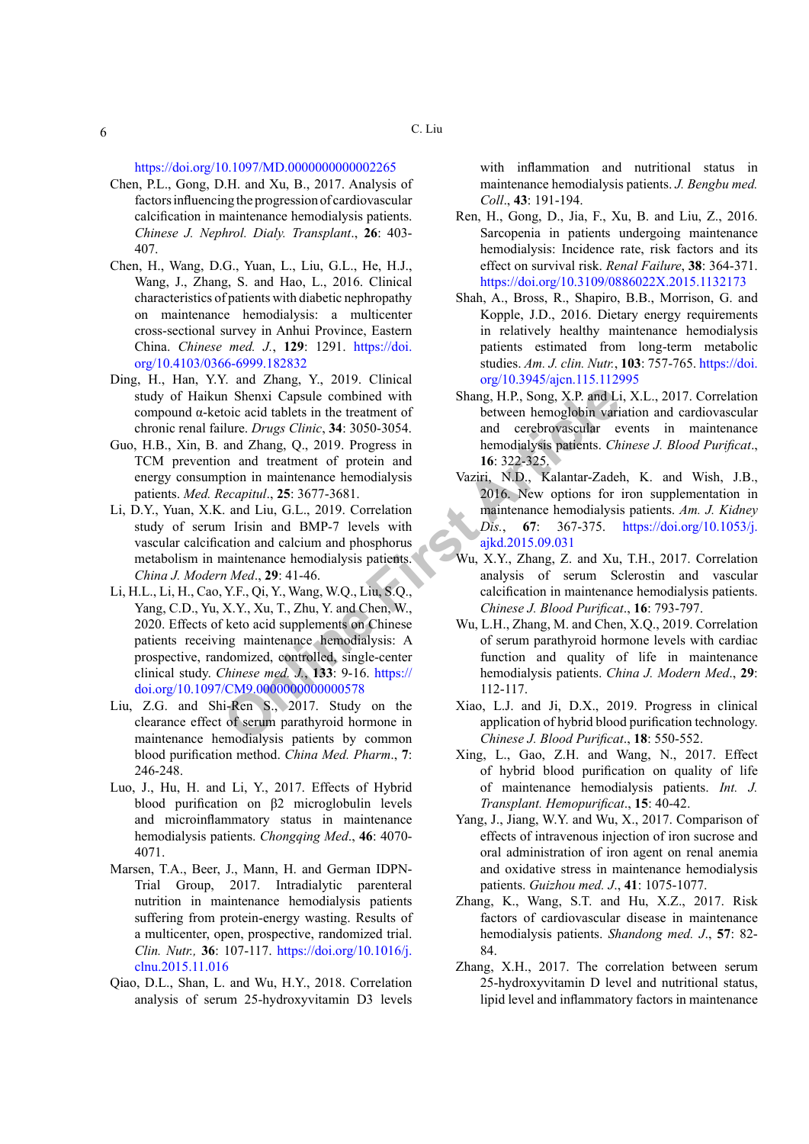<https://doi.org/10.1097/MD.0000000000002265>

- <span id="page-5-19"></span>Chen, P.L., Gong, D.H. and Xu, B., 2017. Analysis of factors influencing the progression of cardiovascular calcification in maintenance hemodialysis patients. *Chinese J. Nephrol. Dialy. Transplant*., **26**: 403- 407.
- <span id="page-5-12"></span>Chen, H., Wang, D.G., Yuan, L., Liu, G.L., He, H.J., Wang, J., Zhang, S. and Hao, L., 2016. Clinical characteristics of patients with diabetic nephropathy on maintenance hemodialysis: a multicenter cross-sectional survey in Anhui Province, Eastern China. *Chinese med. J.*, **129**: 1291. [https://doi.](https://doi.org/10.4103/0366-6999.182832) [org/10.4103/0366-6999.182832](https://doi.org/10.4103/0366-6999.182832)
- <span id="page-5-13"></span>Ding, H., Han, Y.Y. and Zhang, Y., 2019. Clinical study of Haikun Shenxi Capsule combined with compound α-ketoic acid tablets in the treatment of chronic renal failure. *Drugs Clinic*, **34**: 3050-3054.
- <span id="page-5-8"></span>Guo, H.B., Xin, B. and Zhang, Q., 2019. Progress in TCM prevention and treatment of protein and energy consumption in maintenance hemodialysis patients. *Med. Recapitul*., **25**: 3677-3681.
- <span id="page-5-18"></span><span id="page-5-17"></span>Li, D.Y., Yuan, X.K. and Liu, G.L., 2019. Correlation study of serum Irisin and BMP-7 levels with vascular calcification and calcium and phosphorus metabolism in maintenance hemodialysis patients. *China J. Modern Med*., **29**: 41-46.
- **Change Solu[t](https://doi.org/10.1053/j.ajkd.2015.09.031)ion Consumer Consumer Consumer Consumer Consumer Consumer Consumer Consumer Consumer and Zhang, Q., 2019. Progress in an development of protocollar and the strategistic consumer of protocollar and the strategi** Li, H.L., Li, H., Cao, Y.F., Qi, Y., Wang, W.Q., Liu, S.Q., Yang, C.D., Yu, X.Y., Xu, T., Zhu, Y. and Chen, W., 2020. Effects of keto acid supplements on Chinese patients receiving maintenance hemodialysis: A prospective, randomized, controlled, single-center clinical study. *Chinese med. J.*, **133**: 9-16. https:// [doi.org/10.1097/CM9.0000000000000578](https://doi.org/10.1097/CM9.0000000000000578)
- <span id="page-5-6"></span>Liu, Z.G. and Shi-Ren S., 2017. Study on the clearance effect of serum parathyroid hormone in maintenance hemodialysis patients by common blood purification method. *China Med. Pharm*., **7**: 246-248.
- Luo, J., Hu, H. and Li, Y., 2017. Effects of Hybrid blood purification on β2 microglobulin levels and microinflammatory status in maintenance hemodialysis patients. *Chongqing Med*., **46**: 4070- 4071.
- <span id="page-5-1"></span>Marsen, T.A., Beer, J., Mann, H. and German IDPN-Trial Group, 2017. Intradialytic parenteral nutrition in maintenance hemodialysis patients suffering from protein-energy wasting. Results of a multicenter, open, prospective, randomized trial. *Clin. Nutr.,* **36**: 107-117. [https://doi.org/10.1016/j.](https://doi.org/10.1016/j.clnu.2015.11.016) [clnu.2015.11.016](https://doi.org/10.1016/j.clnu.2015.11.016)
- <span id="page-5-14"></span>Qiao, D.L., Shan, L. and Wu, H.Y., 2018. Correlation analysis of serum 25-hydroxyvitamin D3 levels

with inflammation and nutritional status in maintenance hemodialysis patients. *J. Bengbu med. Coll*., **43**: 191-194.

- <span id="page-5-5"></span>Ren, H., Gong, D., Jia, F., Xu, B. and Liu, Z., 2016. Sarcopenia in patients undergoing maintenance hemodialysis: Incidence rate, risk factors and its effect on survival risk. *Renal Failure*, **38**: 364-371. <https://doi.org/10.3109/0886022X.2015.1132173>
- <span id="page-5-4"></span>Shah, A., Bross, R., Shapiro, B.B., Morrison, G. and Kopple, J.D., 2016. Dietary energy requirements in relatively healthy maintenance hemodialysis patients estimated from long-term metabolic studies. *Am. J. clin. Nutr.*, **103**: 757-765. [https://doi.](https://doi.org/10.3945/ajcn.115.112995) [org/10.3945/ajcn.115.112995](https://doi.org/10.3945/ajcn.115.112995)
- <span id="page-5-15"></span>Shang, H.P., Song, X.P. and Li, X.L., 2017. Correlation between hemoglobin variation and cardiovascular and cerebrovascular events in maintenance hemodialysis patients. *Chinese J. Blood Purificat*., **16**: 322-325.
- <span id="page-5-9"></span>Vaziri, N.D., Kalantar-Zadeh, K. and Wish, J.B., 2016. New options for iron supplementation in maintenance hemodialysis patients. *Am. J. Kidney Dis.*, **67**: 367-375. [https://doi.org/10.1053/j.](https://doi.org/10.1053/j.ajkd.2015.09.031) ajkd.2015.09.031
- <span id="page-5-16"></span>Wu, X.Y., Zhang, Z. and Xu, T.H., 2017. Correlation analysis of serum Sclerostin and vascular calcification in maintenance hemodialysis patients. *Chinese J. Blood Purificat*., **16**: 793-797.
- <span id="page-5-7"></span>Wu, L.H., Zhang, M. and Chen, X.Q., 2019. Correlation of serum parathyroid hormone levels with cardiac function and quality of life in maintenance hemodialysis patients. *China J. Modern Med*., **29**: 112-117.
- <span id="page-5-11"></span>Xiao, L.J. and Ji, D.X., 2019. Progress in clinical application of hybrid blood purification technology. *Chinese J. Blood Purificat*., **18**: 550-552.
- <span id="page-5-10"></span>Xing, L., Gao, Z.H. and Wang, N., 2017. Effect of hybrid blood purification on quality of life of maintenance hemodialysis patients. *Int. J. Transplant. Hemopurificat*., **15**: 40-42.
- <span id="page-5-0"></span>Yang, J., Jiang, W.Y. and Wu, X., 2017. Comparison of effects of intravenous injection of iron sucrose and oral administration of iron agent on renal anemia and oxidative stress in maintenance hemodialysis patients. *Guizhou med. J*., **41**: 1075-1077.
- <span id="page-5-2"></span>Zhang, K., Wang, S.T. and Hu, X.Z., 2017. Risk factors of cardiovascular disease in maintenance hemodialysis patients. *Shandong med. J*., **57**: 82- 84.
- <span id="page-5-3"></span>Zhang, X.H., 2017. The correlation between serum 25-hydroxyvitamin D level and nutritional status, lipid level and inflammatory factors in maintenance